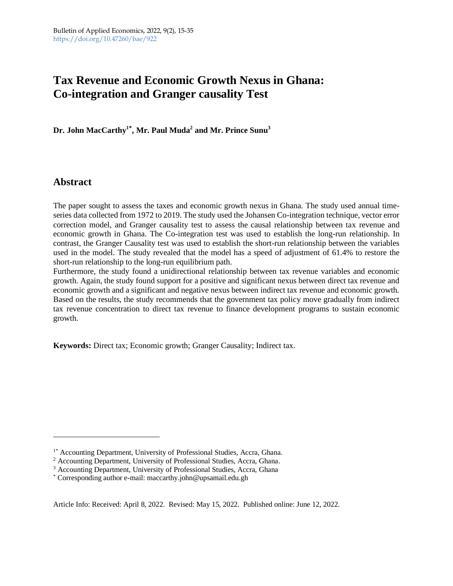# **Tax Revenue and Economic Growth Nexus in Ghana: Co-integration and Granger causality Test**

**Dr. John MacCarthy<sup>1</sup>\* , Mr. Paul Muda<sup>2</sup> and Mr. Prince Sunu<sup>3</sup>**

# **Abstract**

The paper sought to assess the taxes and economic growth nexus in Ghana. The study used annual timeseries data collected from 1972 to 2019. The study used the Johansen Co-integration technique, vector error correction model, and Granger causality test to assess the causal relationship between tax revenue and economic growth in Ghana. The Co-integration test was used to establish the long-run relationship. In contrast, the Granger Causality test was used to establish the short-run relationship between the variables used in the model. The study revealed that the model has a speed of adjustment of 61.4% to restore the short-run relationship to the long-run equilibrium path.

Furthermore, the study found a unidirectional relationship between tax revenue variables and economic growth. Again, the study found support for a positive and significant nexus between direct tax revenue and economic growth and a significant and negative nexus between indirect tax revenue and economic growth. Based on the results, the study recommends that the government tax policy move gradually from indirect tax revenue concentration to direct tax revenue to finance development programs to sustain economic growth.

**Keywords:** Direct tax; Economic growth; Granger Causality; Indirect tax.

Article Info: Received: April 8, 2022. Revised: May 15, 2022. Published online: June 12, 2022.

<sup>&</sup>lt;sup>1\*</sup> Accounting Department, University of Professional Studies, Accra, Ghana.

<sup>&</sup>lt;sup>2</sup> Accounting Department, University of Professional Studies, Accra, Ghana.

<sup>&</sup>lt;sup>3</sup> Accounting Department, University of Professional Studies, Accra, Ghana

<sup>\*</sup> Corresponding author e-mail: maccarthy.john@upsamail.edu.gh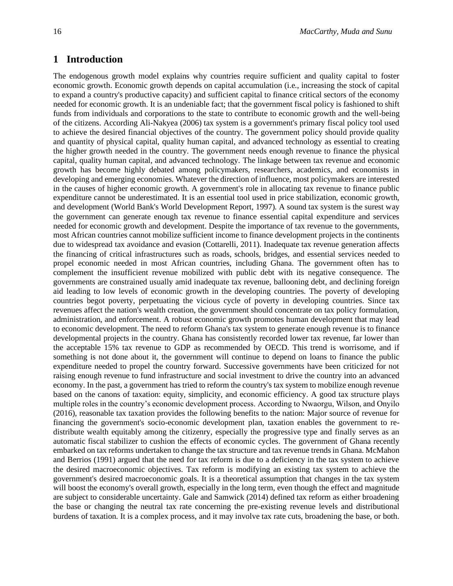# **1 Introduction**

The endogenous growth model explains why countries require sufficient and quality capital to foster economic growth. Economic growth depends on capital accumulation (i.e., increasing the stock of capital to expand a country's productive capacity) and sufficient capital to finance critical sectors of the economy needed for economic growth. It is an undeniable fact; that the government fiscal policy is fashioned to shift funds from individuals and corporations to the state to contribute to economic growth and the well-being of the citizens. According Ali-Nakyea (2006) tax system is a government's primary fiscal policy tool used to achieve the desired financial objectives of the country. The government policy should provide quality and quantity of physical capital, quality human capital, and advanced technology as essential to creating the higher growth needed in the country. The government needs enough revenue to finance the physical capital, quality human capital, and advanced technology. The linkage between tax revenue and economic growth has become highly debated among policymakers, researchers, academics, and economists in developing and emerging economies. Whatever the direction of influence, most policymakers are interested in the causes of higher economic growth. A government's role in allocating tax revenue to finance public expenditure cannot be underestimated. It is an essential tool used in price stabilization, economic growth, and development (World Bank's World Development Report, 1997). A sound tax system is the surest way the government can generate enough tax revenue to finance essential capital expenditure and services needed for economic growth and development. Despite the importance of tax revenue to the governments, most African countries cannot mobilize sufficient income to finance development projects in the continents due to widespread tax avoidance and evasion (Cottarelli, 2011). Inadequate tax revenue generation affects the financing of critical infrastructures such as roads, schools, bridges, and essential services needed to propel economic needed in most African countries, including Ghana. The government often has to complement the insufficient revenue mobilized with public debt with its negative consequence. The governments are constrained usually amid inadequate tax revenue, ballooning debt, and declining foreign aid leading to low levels of economic growth in the developing countries. The poverty of developing countries begot poverty, perpetuating the vicious cycle of poverty in developing countries. Since tax revenues affect the nation's wealth creation, the government should concentrate on tax policy formulation, administration, and enforcement. A robust economic growth promotes human development that may lead to economic development. The need to reform Ghana's tax system to generate enough revenue is to finance developmental projects in the country. Ghana has consistently recorded lower tax revenue, far lower than the acceptable 15% tax revenue to GDP as recommended by OECD. This trend is worrisome, and if something is not done about it, the government will continue to depend on loans to finance the public expenditure needed to propel the country forward. Successive governments have been criticized for not raising enough revenue to fund infrastructure and social investment to drive the country into an advanced economy. In the past, a government has tried to reform the country's tax system to mobilize enough revenue based on the canons of taxation: equity, simplicity, and economic efficiency. A good tax structure plays multiple roles in the country's economic development process. According to Nwaorgu, Wilson, and Onyilo (2016), reasonable tax taxation provides the following benefits to the nation: Major source of revenue for financing the government's socio-economic development plan, taxation enables the government to redistribute wealth equitably among the citizenry, especially the progressive type and finally serves as an automatic fiscal stabilizer to cushion the effects of economic cycles. The government of Ghana recently embarked on tax reforms undertaken to change the tax structure and tax revenue trends in Ghana. McMahon and Berrios (1991) argued that the need for tax reform is due to a deficiency in the tax system to achieve the desired macroeconomic objectives. Tax reform is modifying an existing tax system to achieve the government's desired macroeconomic goals. It is a theoretical assumption that changes in the tax system will boost the economy's overall growth, especially in the long term, even though the effect and magnitude are subject to considerable uncertainty. Gale and Samwick (2014) defined tax reform as either broadening the base or changing the neutral tax rate concerning the pre-existing revenue levels and distributional burdens of taxation. It is a complex process, and it may involve tax rate cuts, broadening the base, or both.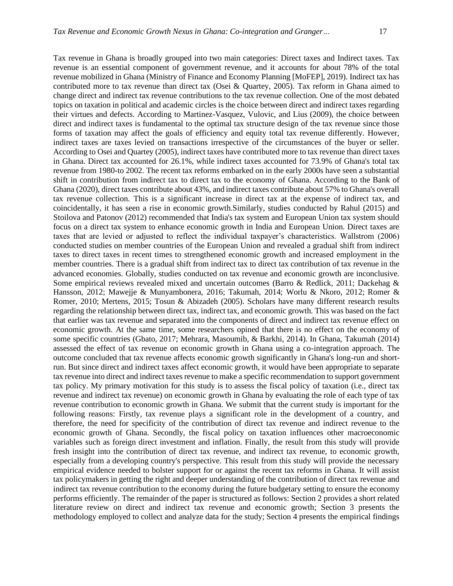Tax revenue in Ghana is broadly grouped into two main categories: Direct taxes and Indirect taxes. Tax revenue is an essential component of government revenue, and it accounts for about 78% of the total revenue mobilized in Ghana (Ministry of Finance and Economy Planning [MoFEP], 2019). Indirect tax has contributed more to tax revenue than direct tax (Osei & Quartey, 2005). Tax reform in Ghana aimed to change direct and indirect tax revenue contributions to the tax revenue collection. One of the most debated topics on taxation in political and academic circles is the choice between direct and indirect taxes regarding their virtues and defects. According to Martinez-Vasquez, Vulovic, and Lius (2009), the choice between direct and indirect taxes is fundamental to the optimal tax structure design of the tax revenue since those forms of taxation may affect the goals of efficiency and equity total tax revenue differently. However, indirect taxes are taxes levied on transactions irrespective of the circumstances of the buyer or seller. According to Osei and Quartey (2005), indirect taxes have contributed more to tax revenue than direct taxes in Ghana. Direct tax accounted for 26.1%, while indirect taxes accounted for 73.9% of Ghana's total tax revenue from 1980-to 2002. The recent tax reforms embarked on in the early 2000s have seen a substantial shift in contribution from indirect tax to direct tax to the economy of Ghana. According to the Bank of Ghana (2020), direct taxes contribute about 43%, and indirect taxes contribute about 57% to Ghana's overall tax revenue collection. This is a significant increase in direct tax at the expense of indirect tax, and coincidentally, it has seen a rise in economic growth.Similarly, studies conducted by Rahul (2015) and Stoilova and Patonov (2012) recommended that India's tax system and European Union tax system should focus on a direct tax system to enhance economic growth in India and European Union. Direct taxes are taxes that are levied or adjusted to reflect the individual taxpayer's characteristics. Wallstrom (2006) conducted studies on member countries of the European Union and revealed a gradual shift from indirect taxes to direct taxes in recent times to strengthened economic growth and increased employment in the member countries. There is a gradual shift from indirect tax to direct tax contribution of tax revenue in the advanced economies. Globally, studies conducted on tax revenue and economic growth are inconclusive. Some empirical reviews revealed mixed and uncertain outcomes (Barro & Redlick, 2011; Dackehag & Hansson, 2012; Mawejje & Munyambonera, 2016; Takumah, 2014; Worlu & Nkoro, 2012; Romer & Romer, 2010; Mertens, 2015; Tosun & Abizadeh (2005). Scholars have many different research results regarding the relationship between direct tax, indirect tax, and economic growth. This was based on the fact that earlier was tax revenue and separated into the components of direct and indirect tax revenue effect on economic growth. At the same time, some researchers opined that there is no effect on the economy of some specific countries (Gbato, 2017; Mehrara, Masoumib, & Barkhi, 2014). In Ghana, Takumah (2014) assessed the effect of tax revenue on economic growth in Ghana using a co-integration approach. The outcome concluded that tax revenue affects economic growth significantly in Ghana's long-run and shortrun. But since direct and indirect taxes affect economic growth, it would have been appropriate to separate tax revenue into direct and indirect taxes revenue to make a specific recommendation to support government tax policy. My primary motivation for this study is to assess the fiscal policy of taxation (i.e., direct tax revenue and indirect tax revenue) on economic growth in Ghana by evaluating the role of each type of tax revenue contribution to economic growth in Ghana. We submit that the current study is important for the following reasons: Firstly, tax revenue plays a significant role in the development of a country, and therefore, the need for specificity of the contribution of direct tax revenue and indirect revenue to the economic growth of Ghana. Secondly, the fiscal policy on taxation influences other macroeconomic variables such as foreign direct investment and inflation. Finally, the result from this study will provide fresh insight into the contribution of direct tax revenue, and indirect tax revenue, to economic growth, especially from a developing country's perspective. This result from this study will provide the necessary empirical evidence needed to bolster support for or against the recent tax reforms in Ghana. It will assist tax policymakers in getting the right and deeper understanding of the contribution of direct tax revenue and indirect tax revenue contribution to the economy during the future budgetary setting to ensure the economy performs efficiently. The remainder of the paper is structured as follows: Section 2 provides a short related literature review on direct and indirect tax revenue and economic growth; Section 3 presents the methodology employed to collect and analyze data for the study; Section 4 presents the empirical findings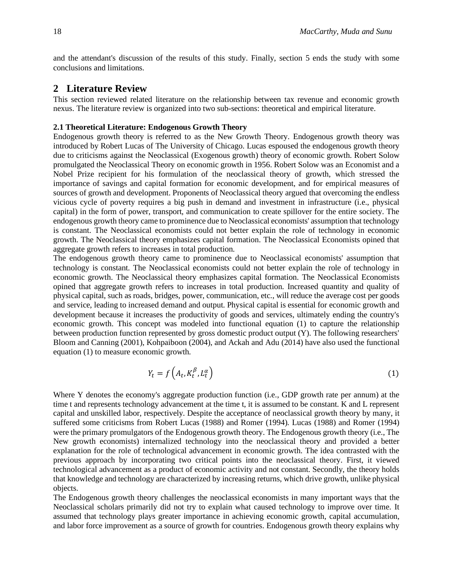and the attendant's discussion of the results of this study. Finally, section 5 ends the study with some conclusions and limitations.

# **2 Literature Review**

This section reviewed related literature on the relationship between tax revenue and economic growth nexus. The literature review is organized into two sub-sections: theoretical and empirical literature.

#### **2.1 Theoretical Literature: Endogenous Growth Theory**

Endogenous growth theory is referred to as the New Growth Theory. Endogenous growth theory was introduced by Robert Lucas of The University of Chicago. Lucas espoused the endogenous growth theory due to criticisms against the Neoclassical (Exogenous growth) theory of economic growth. Robert Solow promulgated the Neoclassical Theory on economic growth in 1956. Robert Solow was an Economist and a Nobel Prize recipient for his formulation of the neoclassical theory of growth, which stressed the importance of savings and capital formation for economic development, and for empirical measures of sources of growth and development. Proponents of Neoclassical theory argued that overcoming the endless vicious cycle of poverty requires a big push in demand and investment in infrastructure (i.e., physical capital) in the form of power, transport, and communication to create spillover for the entire society. The endogenous growth theory came to prominence due to Neoclassical economists' assumption that technology is constant. The Neoclassical economists could not better explain the role of technology in economic growth. The Neoclassical theory emphasizes capital formation. The Neoclassical Economists opined that aggregate growth refers to increases in total production.

The endogenous growth theory came to prominence due to Neoclassical economists' assumption that technology is constant. The Neoclassical economists could not better explain the role of technology in economic growth. The Neoclassical theory emphasizes capital formation. The Neoclassical Economists opined that aggregate growth refers to increases in total production. Increased quantity and quality of physical capital, such as roads, bridges, power, communication, etc., will reduce the average cost per goods and service, leading to increased demand and output. Physical capital is essential for economic growth and development because it increases the productivity of goods and services, ultimately ending the country's economic growth. This concept was modeled into functional equation (1) to capture the relationship between production function represented by gross domestic product output (Y). The following researchers' Bloom and Canning (2001), Kohpaiboon (2004), and Ackah and Adu (2014) have also used the functional equation (1) to measure economic growth.

$$
Y_t = f\left(A_t, K_t^{\beta}, L_t^{\alpha}\right) \tag{1}
$$

Where Y denotes the economy's aggregate production function (i.e., GDP growth rate per annum) at the time t and represents technology advancement at the time t, it is assumed to be constant. K and L represent capital and unskilled labor, respectively. Despite the acceptance of neoclassical growth theory by many, it suffered some criticisms from Robert Lucas (1988) and Romer (1994). Lucas (1988) and Romer (1994) were the primary promulgators of the Endogenous growth theory. The Endogenous growth theory (i.e., The New growth economists) internalized technology into the neoclassical theory and provided a better explanation for the role of technological advancement in economic growth. The idea contrasted with the previous approach by incorporating two critical points into the neoclassical theory. First, it viewed technological advancement as a product of economic activity and not constant. Secondly, the theory holds that knowledge and technology are characterized by increasing returns, which drive growth, unlike physical objects.

The Endogenous growth theory challenges the neoclassical economists in many important ways that the Neoclassical scholars primarily did not try to explain what caused technology to improve over time. It assumed that technology plays greater importance in achieving economic growth, capital accumulation, and labor force improvement as a source of growth for countries. Endogenous growth theory explains why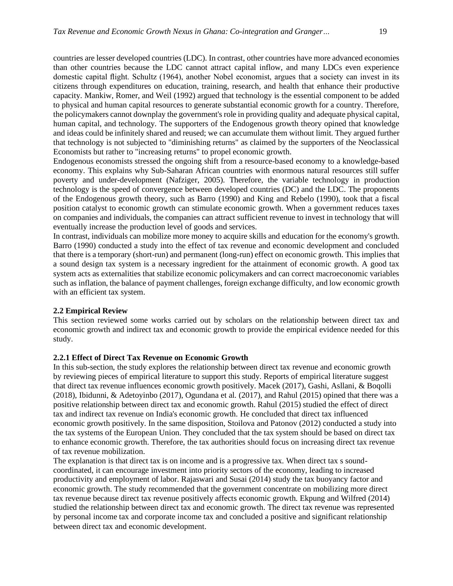countries are lesser developed countries (LDC). In contrast, other countries have more advanced economies than other countries because the LDC cannot attract capital inflow, and many LDCs even experience domestic capital flight. Schultz (1964), another Nobel economist, argues that a society can invest in its citizens through expenditures on education, training, research, and health that enhance their productive capacity. Mankiw, Romer, and Weil (1992) argued that technology is the essential component to be added to physical and human capital resources to generate substantial economic growth for a country. Therefore, the policymakers cannot downplay the government's role in providing quality and adequate physical capital, human capital, and technology. The supporters of the Endogenous growth theory opined that knowledge and ideas could be infinitely shared and reused; we can accumulate them without limit. They argued further that technology is not subjected to "diminishing returns" as claimed by the supporters of the Neoclassical Economists but rather to "increasing returns" to propel economic growth.

Endogenous economists stressed the ongoing shift from a resource-based economy to a knowledge-based economy. This explains why Sub-Saharan African countries with enormous natural resources still suffer poverty and under-development (Nafziger, 2005). Therefore, the variable technology in production technology is the speed of convergence between developed countries (DC) and the LDC. The proponents of the Endogenous growth theory, such as Barro (1990) and King and Rebelo (1990), took that a fiscal position catalyst to economic growth can stimulate economic growth. When a government reduces taxes on companies and individuals, the companies can attract sufficient revenue to invest in technology that will eventually increase the production level of goods and services.

In contrast, individuals can mobilize more money to acquire skills and education for the economy's growth. Barro (1990) conducted a study into the effect of tax revenue and economic development and concluded that there is a temporary (short-run) and permanent (long-run) effect on economic growth. This implies that a sound design tax system is a necessary ingredient for the attainment of economic growth. A good tax system acts as externalities that stabilize economic policymakers and can correct macroeconomic variables such as inflation, the balance of payment challenges, foreign exchange difficulty, and low economic growth with an efficient tax system.

#### **2.2 Empirical Review**

This section reviewed some works carried out by scholars on the relationship between direct tax and economic growth and indirect tax and economic growth to provide the empirical evidence needed for this study.

#### **2.2.1 Effect of Direct Tax Revenue on Economic Growth**

In this sub-section, the study explores the relationship between direct tax revenue and economic growth by reviewing pieces of empirical literature to support this study. Reports of empirical literature suggest that direct tax revenue influences economic growth positively. Macek (2017), Gashi, Asllani, & Boqolli (2018), Ibidunni, & Adetoyinbo (2017), Ogundana et al. (2017), and Rahul (2015) opined that there was a positive relationship between direct tax and economic growth. Rahul (2015) studied the effect of direct tax and indirect tax revenue on India's economic growth. He concluded that direct tax influenced economic growth positively. In the same disposition, Stoilova and Patonov (2012) conducted a study into the tax systems of the European Union. They concluded that the tax system should be based on direct tax to enhance economic growth. Therefore, the tax authorities should focus on increasing direct tax revenue of tax revenue mobilization.

The explanation is that direct tax is on income and is a progressive tax. When direct tax s soundcoordinated, it can encourage investment into priority sectors of the economy, leading to increased productivity and employment of labor. Rajaswari and Susai (2014) study the tax buoyancy factor and economic growth. The study recommended that the government concentrate on mobilizing more direct tax revenue because direct tax revenue positively affects economic growth. Ekpung and Wilfred (2014) studied the relationship between direct tax and economic growth. The direct tax revenue was represented by personal income tax and corporate income tax and concluded a positive and significant relationship between direct tax and economic development.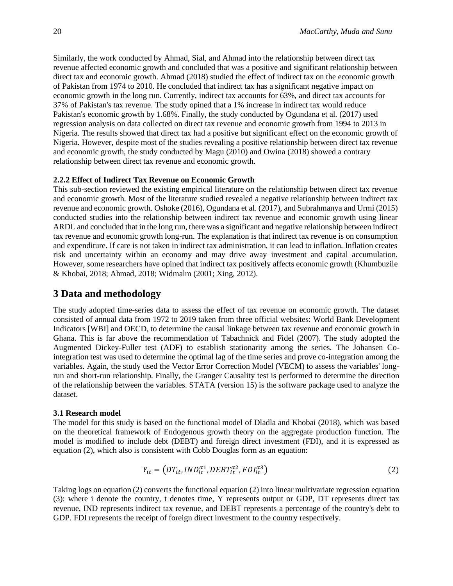Similarly, the work conducted by Ahmad, Sial, and Ahmad into the relationship between direct tax revenue affected economic growth and concluded that was a positive and significant relationship between direct tax and economic growth. Ahmad (2018) studied the effect of indirect tax on the economic growth of Pakistan from 1974 to 2010. He concluded that indirect tax has a significant negative impact on economic growth in the long run. Currently, indirect tax accounts for 63%, and direct tax accounts for 37% of Pakistan's tax revenue. The study opined that a 1% increase in indirect tax would reduce Pakistan's economic growth by 1.68%. Finally, the study conducted by Ogundana et al. (2017) used regression analysis on data collected on direct tax revenue and economic growth from 1994 to 2013 in Nigeria. The results showed that direct tax had a positive but significant effect on the economic growth of Nigeria. However, despite most of the studies revealing a positive relationship between direct tax revenue and economic growth, the study conducted by Magu (2010) and Owina (2018) showed a contrary relationship between direct tax revenue and economic growth.

#### **2.2.2 Effect of Indirect Tax Revenue on Economic Growth**

This sub-section reviewed the existing empirical literature on the relationship between direct tax revenue and economic growth. Most of the literature studied revealed a negative relationship between indirect tax revenue and economic growth. Oshoke (2016), Ogundana et al. (2017), and Subrahmanya and Urmi (2015) conducted studies into the relationship between indirect tax revenue and economic growth using linear ARDL and concluded that in the long run, there was a significant and negative relationship between indirect tax revenue and economic growth long-run. The explanation is that indirect tax revenue is on consumption and expenditure. If care is not taken in indirect tax administration, it can lead to inflation. Inflation creates risk and uncertainty within an economy and may drive away investment and capital accumulation. However, some researchers have opined that indirect tax positively affects economic growth (Khumbuzile & Khobai, 2018; Ahmad, 2018; Widmalm (2001; Xing, 2012).

# **3 Data and methodology**

The study adopted time-series data to assess the effect of tax revenue on economic growth. The dataset consisted of annual data from 1972 to 2019 taken from three official websites: World Bank Development Indicators [WBI] and OECD, to determine the causal linkage between tax revenue and economic growth in Ghana. This is far above the recommendation of Tabachnick and Fidel (2007). The study adopted the Augmented Dickey-Fuller test (ADF) to establish stationarity among the series. The Johansen Cointegration test was used to determine the optimal lag of the time series and prove co-integration among the variables. Again, the study used the Vector Error Correction Model (VECM) to assess the variables' longrun and short-run relationship. Finally, the Granger Causality test is performed to determine the direction of the relationship between the variables. STATA (version 15) is the software package used to analyze the dataset.

#### **3.1 Research model**

The model for this study is based on the functional model of Dladla and Khobai (2018), which was based on the theoretical framework of Endogenous growth theory on the aggregate production function. The model is modified to include debt (DEBT) and foreign direct investment (FDI), and it is expressed as equation (2), which also is consistent with Cobb Douglas form as an equation:

$$
Y_{it} = \left(DT_{it}, IND_{it}^{\alpha_1}, DEBT_{it}^{\alpha_2}, FDI_{it}^{\alpha_3}\right) \tag{2}
$$

Taking logs on equation (2) converts the functional equation (2) into linear multivariate regression equation (3): where i denote the country, t denotes time, Y represents output or GDP, DT represents direct tax revenue, IND represents indirect tax revenue, and DEBT represents a percentage of the country's debt to GDP. FDI represents the receipt of foreign direct investment to the country respectively.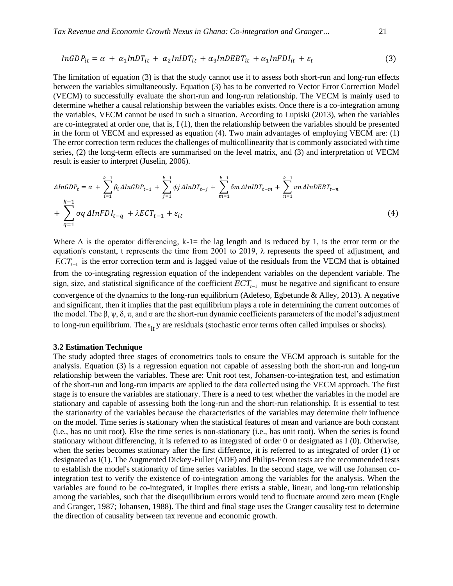$$
InGDP_{it} = \alpha + \alpha_1 InDT_{it} + \alpha_2 InIDT_{it} + \alpha_3 InDEBT_{it} + \alpha_1 InFDI_{it} + \varepsilon_t
$$
\n(3)

The limitation of equation (3) is that the study cannot use it to assess both short-run and long-run effects between the variables simultaneously. Equation (3) has to be converted to Vector Error Correction Model (VECM) to successfully evaluate the short-run and long-run relationship. The VECM is mainly used to determine whether a causal relationship between the variables exists. Once there is a co-integration among the variables, VECM cannot be used in such a situation. According to Lupiski (2013), when the variables are co-integrated at order one, that is, I (1), then the relationship between the variables should be presented in the form of VECM and expressed as equation (4). Two main advantages of employing VECM are: (1) The error correction term reduces the challenges of multicollinearity that is commonly associated with time series, (2) the long-term effects are summarised on the level matrix, and (3) and interpretation of VECM result is easier to interpret (Juselin, 2006).

$$
\Delta InGDP_t = \alpha + \sum_{i=1}^{k-1} \beta_i \Delta InGDP_{t-1} + \sum_{j=1}^{k-1} \psi_j \Delta InDT_{t-j} + \sum_{m=1}^{k-1} \delta m \Delta InIDT_{t-m} + \sum_{n=1}^{k-1} \pi n \Delta InDEF_{t-n} + \sum_{q=1}^{k-1} \sigma q \Delta InFDI_{t-q} + \lambda ECT_{t-1} + \varepsilon_{it}
$$
\n
$$
(4)
$$

Where  $\Delta$  is the operator differencing, k-1= the lag length and is reduced by 1, is the error term or the equation's constant, t represents the time from 2001 to 2019, λ represents the speed of adjustment, and *ECT*<sub>*t*−1</sub> is the error correction term and is lagged value of the residuals from the VECM that is obtained from the co-integrating regression equation of the independent variables on the dependent variable. The sign, size, and statistical significance of the coefficient *ECTt*−<sup>1</sup> must be negative and significant to ensure convergence of the dynamics to the long-run equilibrium (Adefeso, Egbetunde & Alley, 2013). A negative and significant, then it implies that the past equilibrium plays a role in determining the current outcomes of the model. The β,  $\psi$ , δ, π, and σ are the short-run dynamic coefficients parameters of the model's adjustment to long-run equilibrium. The  $\varepsilon_{\rm it}$  y are residuals (stochastic error terms often called impulses or shocks).

#### **3.2 Estimation Technique**

The study adopted three stages of econometrics tools to ensure the VECM approach is suitable for the analysis. Equation (3) is a regression equation not capable of assessing both the short-run and long-run relationship between the variables. These are: Unit root test, Johansen-co-integration test, and estimation of the short-run and long-run impacts are applied to the data collected using the VECM approach. The first stage is to ensure the variables are stationary. There is a need to test whether the variables in the model are stationary and capable of assessing both the long-run and the short-run relationship. It is essential to test the stationarity of the variables because the characteristics of the variables may determine their influence on the model. Time series is stationary when the statistical features of mean and variance are both constant (i.e., has no unit root). Else the time series is non-stationary (i.e., has unit root). When the series is found stationary without differencing, it is referred to as integrated of order 0 or designated as I (0). Otherwise, when the series becomes stationary after the first difference, it is referred to as integrated of order (1) or designated as I(1). The Augmented Dickey-Fuller (ADF) and Philips-Peron tests are the recommended tests to establish the model's stationarity of time series variables. In the second stage, we will use Johansen cointegration test to verify the existence of co-integration among the variables for the analysis. When the variables are found to be co-integrated, it implies there exists a stable, linear, and long-run relationship among the variables, such that the disequilibrium errors would tend to fluctuate around zero mean (Engle and Granger, 1987; Johansen, 1988). The third and final stage uses the Granger causality test to determine the direction of causality between tax revenue and economic growth.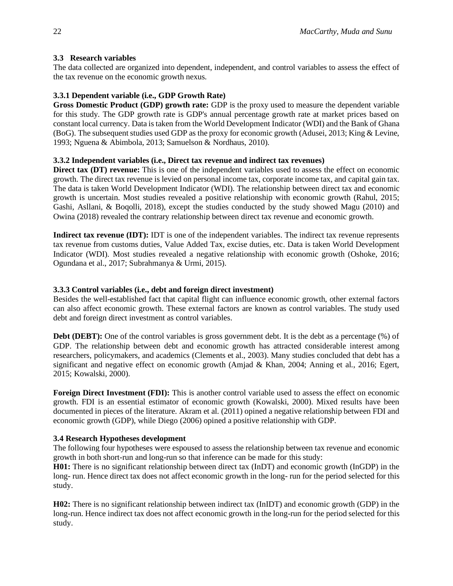#### **3.3 Research variables**

The data collected are organized into dependent, independent, and control variables to assess the effect of the tax revenue on the economic growth nexus.

### **3.3.1 Dependent variable (i.e., GDP Growth Rate)**

**Gross Domestic Product (GDP) growth rate:** GDP is the proxy used to measure the dependent variable for this study. The GDP growth rate is GDP's annual percentage growth rate at market prices based on constant local currency. Data is taken from the World Development Indicator (WDI) and the Bank of Ghana (BoG). The subsequent studies used GDP as the proxy for economic growth (Adusei, 2013; King & Levine, 1993; Nguena & Abimbola, 2013; Samuelson & Nordhaus, 2010).

### **3.3.2 Independent variables (i.e., Direct tax revenue and indirect tax revenues)**

**Direct tax (DT) revenue:** This is one of the independent variables used to assess the effect on economic growth. The direct tax revenue is levied on personal income tax, corporate income tax, and capital gain tax. The data is taken World Development Indicator (WDI). The relationship between direct tax and economic growth is uncertain. Most studies revealed a positive relationship with economic growth (Rahul, 2015; Gashi, Asllani, & Boqolli, 2018), except the studies conducted by the study showed Magu (2010) and Owina (2018) revealed the contrary relationship between direct tax revenue and economic growth.

**Indirect tax revenue (IDT):** IDT is one of the independent variables. The indirect tax revenue represents tax revenue from customs duties, Value Added Tax, excise duties, etc. Data is taken World Development Indicator (WDI). Most studies revealed a negative relationship with economic growth (Oshoke, 2016; Ogundana et al., 2017; Subrahmanya & Urmi, 2015).

#### **3.3.3 Control variables (i.e., debt and foreign direct investment)**

Besides the well-established fact that capital flight can influence economic growth, other external factors can also affect economic growth. These external factors are known as control variables. The study used debt and foreign direct investment as control variables.

**Debt (DEBT):** One of the control variables is gross government debt. It is the debt as a percentage (%) of GDP. The relationship between debt and economic growth has attracted considerable interest among researchers, policymakers, and academics (Clements et al., 2003). Many studies concluded that debt has a significant and negative effect on economic growth (Amjad & Khan, 2004; Anning et al., 2016; Egert, 2015; Kowalski, 2000).

**Foreign Direct Investment (FDI):** This is another control variable used to assess the effect on economic growth. FDI is an essential estimator of economic growth (Kowalski, 2000). Mixed results have been documented in pieces of the literature. Akram et al. (2011) opined a negative relationship between FDI and economic growth (GDP), while Diego (2006) opined a positive relationship with GDP.

#### **3.4 Research Hypotheses development**

The following four hypotheses were espoused to assess the relationship between tax revenue and economic growth in both short-run and long-run so that inference can be made for this study:

**H01:** There is no significant relationship between direct tax (InDT) and economic growth (InGDP) in the long- run. Hence direct tax does not affect economic growth in the long- run for the period selected for this study.

**H02:** There is no significant relationship between indirect tax (InIDT) and economic growth (GDP) in the long-run. Hence indirect tax does not affect economic growth in the long-run for the period selected for this study.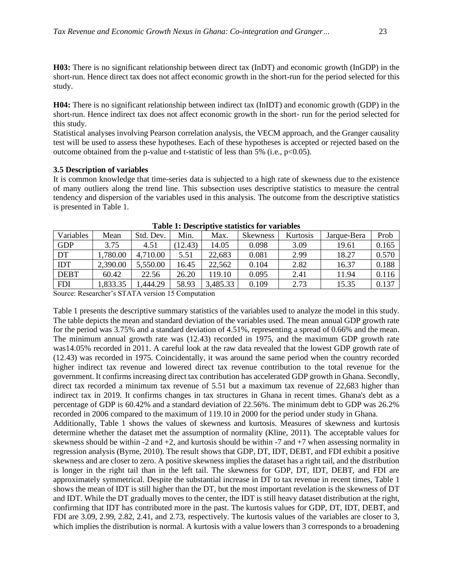**H03:** There is no significant relationship between direct tax (InDT) and economic growth (InGDP) in the short-run. Hence direct tax does not affect economic growth in the short-run for the period selected for this study.

**H04:** There is no significant relationship between indirect tax (InIDT) and economic growth (GDP) in the short-run. Hence indirect tax does not affect economic growth in the short- run for the period selected for this study.

Statistical analyses involving Pearson correlation analysis, the VECM approach, and the Granger causality test will be used to assess these hypotheses. Each of these hypotheses is accepted or rejected based on the outcome obtained from the p-value and t-statistic of less than 5% (i.e.,  $p<0.05$ ).

#### **3.5 Description of variables**

It is common knowledge that time-series data is subjected to a high rate of skewness due to the existence of many outliers along the trend line. This subsection uses descriptive statistics to measure the central tendency and dispersion of the variables used in this analysis. The outcome from the descriptive statistics is presented in Table 1.

| <b>Variables</b> | Mean     | Std. Dev. | Min.   | Max.     | Skewness | Kurtosis | Jarque-Bera | Prob  |
|------------------|----------|-----------|--------|----------|----------|----------|-------------|-------|
| <b>GDP</b>       | 3.75     | 4.51      | 12.43) | 14.05    | 0.098    | 3.09     | 19.61       | 0.165 |
| DT               | .780.00  | 4,710.00  | 5.51   | 22,683   | 0.081    | 2.99     | 18.27       | 0.570 |
| <b>IDT</b>       | 2,390.00 | 5,550.00  | 16.45  | 22,562   | 0.104    | 2.82     | 16.37       | 0.188 |
| <b>DEBT</b>      | 60.42    | 22.56     | 26.20  | 119.10   | 0.095    | 2.41     | 11.94       | 0.116 |
| <b>FDI</b>       | .833.35  | .444.29   | 58.93  | 3,485.33 | 0.109    | 2.73     | 15.35       | 0.137 |

**Table 1: Descriptive statistics for variables**

Source: Researcher's STATA version 15 Computation

Table 1 presents the descriptive summary statistics of the variables used to analyze the model in this study. The table depicts the mean and standard deviation of the variables used. The mean annual GDP growth rate for the period was 3.75% and a standard deviation of 4.51%, representing a spread of 0.66% and the mean. The minimum annual growth rate was (12.43) recorded in 1975, and the maximum GDP growth rate was14.05% recorded in 2011. A careful look at the raw data revealed that the lowest GDP growth rate of (12.43) was recorded in 1975. Coincidentally, it was around the same period when the country recorded higher indirect tax revenue and lowered direct tax revenue contribution to the total revenue for the government. It confirms increasing direct tax contribution has accelerated GDP growth in Ghana. Secondly, direct tax recorded a minimum tax revenue of 5.51 but a maximum tax revenue of 22,683 higher than indirect tax in 2019. It confirms changes in tax structures in Ghana in recent times. Ghana's debt as a percentage of GDP is 60.42% and a standard deviation of 22.56%. The minimum debt to GDP was 26.2% recorded in 2006 compared to the maximum of 119.10 in 2000 for the period under study in Ghana. Additionally, Table 1 shows the values of skewness and kurtosis. Measures of skewness and kurtosis determine whether the dataset met the assumption of normality (Kline, 2011). The acceptable values for skewness should be within  $-2$  and  $+2$ , and kurtosis should be within  $-7$  and  $+7$  when assessing normality in regression analysis (Byrne, 2010). The result shows that GDP, DT, IDT, DEBT, and FDI exhibit a positive skewness and are closer to zero. A positive skewness implies the dataset has a right tail, and the distribution is longer in the right tail than in the left tail. The skewness for GDP, DT, IDT, DEBT, and FDI are approximately symmetrical. Despite the substantial increase in DT to tax revenue in recent times, Table 1 shows the mean of IDT is still higher than the DT, but the most important revelation is the skewness of DT and IDT. While the DT gradually moves to the center, the IDT is still heavy dataset distribution at the right, confirming that IDT has contributed more in the past. The kurtosis values for GDP, DT, IDT, DEBT, and FDI are 3.09, 2.99, 2.82, 2.41, and 2.73, respectively. The kurtosis values of the variables are closer to 3, which implies the distribution is normal. A kurtosis with a value lowers than 3 corresponds to a broadening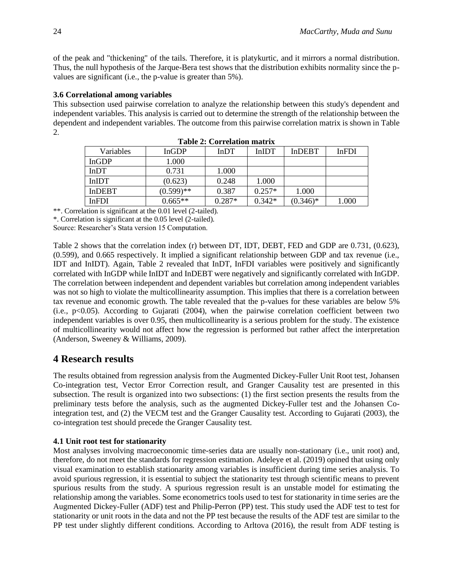of the peak and "thickening" of the tails. Therefore, it is platykurtic, and it mirrors a normal distribution. Thus, the null hypothesis of the Jarque-Bera test shows that the distribution exhibits normality since the pvalues are significant (i.e., the p-value is greater than 5%).

# **3.6 Correlational among variables**

This subsection used pairwise correlation to analyze the relationship between this study's dependent and independent variables. This analysis is carried out to determine the strength of the relationship between the dependent and independent variables. The outcome from this pairwise correlation matrix is shown in Table 2.

| TANYA TI OVLIVANYIYII HIMVI MI |              |          |              |               |              |  |  |  |
|--------------------------------|--------------|----------|--------------|---------------|--------------|--|--|--|
| Variables                      | <b>InGDP</b> | InDT     | <b>InIDT</b> | <b>InDEBT</b> | <b>InFDI</b> |  |  |  |
| InGDP                          | 1.000        |          |              |               |              |  |  |  |
| <b>InDT</b>                    | 0.731        | 1.000    |              |               |              |  |  |  |
| <b>InIDT</b>                   | (0.623)      | 0.248    | 1.000        |               |              |  |  |  |
| <b>InDEBT</b>                  | $(0.599)$ ** | 0.387    | $0.257*$     | 1.000         |              |  |  |  |
| <b>InFDI</b>                   | $0.665**$    | $0.287*$ | $0.342*$     | $(0.346)*$    | 1.000        |  |  |  |

| <b>Table 2: Correlation matrix</b> |  |
|------------------------------------|--|
|                                    |  |

\*\*. Correlation is significant at the 0.01 level (2-tailed).

\*. Correlation is significant at the 0.05 level (2-tailed).

Source: Researcher's Stata version 15 Computation.

Table 2 shows that the correlation index (r) between DT, IDT, DEBT, FED and GDP are 0.731, (0.623), (0.599), and 0.665 respectively. It implied a significant relationship between GDP and tax revenue (i.e., IDT and InIDT). Again, Table 2 revealed that InDT, InFDI variables were positively and significantly correlated with InGDP while InIDT and InDEBT were negatively and significantly correlated with InGDP. The correlation between independent and dependent variables but correlation among independent variables was not so high to violate the multicollinearity assumption. This implies that there is a correlation between tax revenue and economic growth. The table revealed that the p-values for these variables are below 5% (i.e., p<0.05). According to Gujarati (2004), when the pairwise correlation coefficient between two independent variables is over 0.95, then multicollinearity is a serious problem for the study. The existence of multicollinearity would not affect how the regression is performed but rather affect the interpretation (Anderson, Sweeney & Williams, 2009).

# **4 Research results**

The results obtained from regression analysis from the Augmented Dickey-Fuller Unit Root test, Johansen Co-integration test, Vector Error Correction result, and Granger Causality test are presented in this subsection. The result is organized into two subsections: (1) the first section presents the results from the preliminary tests before the analysis, such as the augmented Dickey-Fuller test and the Johansen Cointegration test, and (2) the VECM test and the Granger Causality test. According to Gujarati (2003), the co-integration test should precede the Granger Causality test.

# **4.1 Unit root test for stationarity**

Most analyses involving macroeconomic time-series data are usually non-stationary (i.e., unit root) and, therefore, do not meet the standards for regression estimation. Adeleye et al. (2019) opined that using only visual examination to establish stationarity among variables is insufficient during time series analysis. To avoid spurious regression, it is essential to subject the stationarity test through scientific means to prevent spurious results from the study. A spurious regression result is an unstable model for estimating the relationship among the variables. Some econometrics tools used to test for stationarity in time series are the Augmented Dickey-Fuller (ADF) test and Philip-Perron (PP) test. This study used the ADF test to test for stationarity or unit roots in the data and not the PP test because the results of the ADF test are similar to the PP test under slightly different conditions. According to Arltova (2016), the result from ADF testing is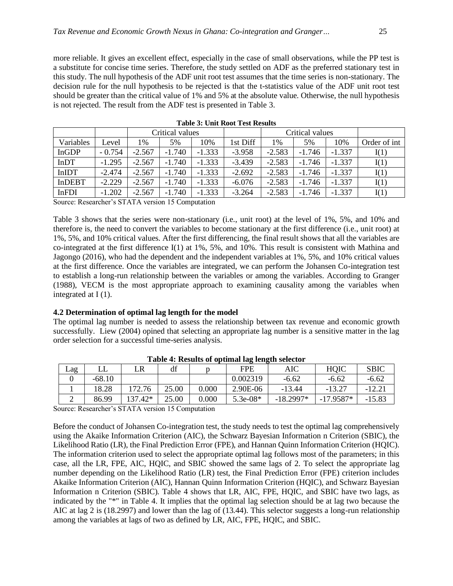more reliable. It gives an excellent effect, especially in the case of small observations, while the PP test is a substitute for concise time series. Therefore, the study settled on ADF as the preferred stationary test in this study. The null hypothesis of the ADF unit root test assumes that the time series is non-stationary. The decision rule for the null hypothesis to be rejected is that the t-statistics value of the ADF unit root test should be greater than the critical value of 1% and 5% at the absolute value. Otherwise, the null hypothesis is not rejected. The result from the ADF test is presented in Table 3.

|               |          | Critical values |          |          | Critical values |          |          |          |              |
|---------------|----------|-----------------|----------|----------|-----------------|----------|----------|----------|--------------|
| Variables     | Level    | 1%              | 5%       | 10%      | 1st Diff        | 1%       | 5%       | 10%      | Order of int |
| <b>InGDP</b>  | $-0.754$ | $-2.567$        | $-1.740$ | $-1.333$ | $-3.958$        | $-2.583$ | $-1.746$ | $-1.337$ | I(1)         |
| <b>InDT</b>   | $-1.295$ | $-2.567$        | $-1.740$ | $-1.333$ | $-3.439$        | $-2.583$ | $-1.746$ | $-1.337$ | I(1)         |
| <b>InIDT</b>  | $-2.474$ | $-2.567$        | $-1.740$ | $-1.333$ | $-2.692$        | $-2.583$ | $-1.746$ | $-1.337$ | I(1)         |
| <b>InDEBT</b> | $-2.229$ | $-2.567$        | $-1.740$ | $-1.333$ | $-6.076$        | $-2.583$ | $-1.746$ | $-1.337$ | I(1)         |
| InFDI         | $-1.202$ | $-2.567$        | $-1.740$ | $-1.333$ | $-3.264$        | $-2.583$ | $-1.746$ | $-1.337$ | I(1)         |

**Table 3: Unit Root Test Results**

Source: Researcher's STATA version 15 Computation

Table 3 shows that the series were non-stationary (i.e., unit root) at the level of 1%, 5%, and 10% and therefore is, the need to convert the variables to become stationary at the first difference (i.e., unit root) at 1%, 5%, and 10% critical values. After the first differencing, the final result shows that all the variables are co-integrated at the first difference I(1) at 1%, 5%, and 10%. This result is consistent with Mathina and Jagongo (2016), who had the dependent and the independent variables at 1%, 5%, and 10% critical values at the first difference. Once the variables are integrated, we can perform the Johansen Co-integration test to establish a long-run relationship between the variables or among the variables. According to Granger (1988), VECM is the most appropriate approach to examining causality among the variables when integrated at I (1).

#### **4.2 Determination of optimal lag length for the model**

The optimal lag number is needed to assess the relationship between tax revenue and economic growth successfully. Liew (2004) opined that selecting an appropriate lag number is a sensitive matter in the lag order selection for a successful time-series analysis.

|  |                       |          |        |       |       | $\overline{\phantom{0}}$ |             |             |             |
|--|-----------------------|----------|--------|-------|-------|--------------------------|-------------|-------------|-------------|
|  | $\mathop{\text{Lag}}$ | LL       | LR     | df    |       | <b>FPE</b>               | AIC         | HQIC        | <b>SBIC</b> |
|  |                       | $-68.10$ |        |       |       | 0.002319                 | $-6.62$     | $-6.62$     | $-6.62$     |
|  |                       | 18.28    | 172.76 | 25.00 | 0.000 | 2.90E-06                 | $-13.44$    | $-13.27$    | $-12.21$    |
|  | ∸                     | 86.99    | $.42*$ | 25.00 | 0.000 | $5.3e-08*$               | $-18.2997*$ | $-17.9587*$ | $-15.83$    |

**Table 4: Results of optimal lag length selector**

Source: Researcher's STATA version 15 Computation

Before the conduct of Johansen Co-integration test, the study needs to test the optimal lag comprehensively using the Akaike Information Criterion (AIC), the Schwarz Bayesian Information n Criterion (SBIC), the Likelihood Ratio (LR), the Final Prediction Error (FPE), and Hannan Quinn Information Criterion (HQIC). The information criterion used to select the appropriate optimal lag follows most of the parameters; in this case, all the LR, FPE, AIC, HQIC, and SBIC showed the same lags of 2. To select the appropriate lag number depending on the Likelihood Ratio (LR) test, the Final Prediction Error (FPE) criterion includes Akaike Information Criterion (AIC), Hannan Quinn Information Criterion (HQIC), and Schwarz Bayesian Information n Criterion (SBIC). Table 4 shows that LR, AIC, FPE, HQIC, and SBIC have two lags, as indicated by the "\*" in Table 4. It implies that the optimal lag selection should be at lag two because the AIC at lag 2 is (18.2997) and lower than the lag of (13.44). This selector suggests a long-run relationship among the variables at lags of two as defined by LR, AIC, FPE, HQIC, and SBIC.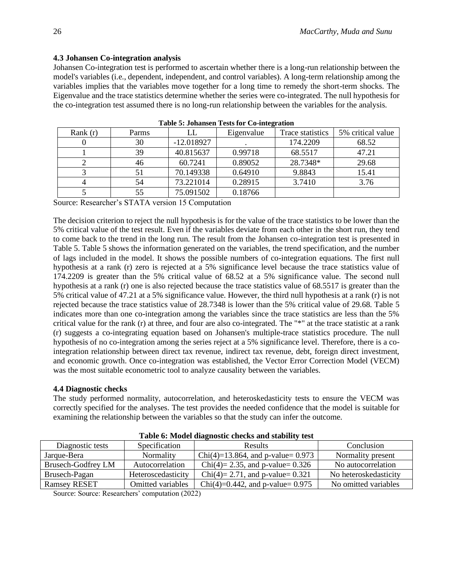# **4.3 Johansen Co-integration analysis**

Johansen Co-integration test is performed to ascertain whether there is a long-run relationship between the model's variables (i.e., dependent, independent, and control variables). A long-term relationship among the variables implies that the variables move together for a long time to remedy the short-term shocks. The Eigenvalue and the trace statistics determine whether the series were co-integrated. The null hypothesis for the co-integration test assumed there is no long-run relationship between the variables for the analysis.

| Rank $(r)$ | Parms | LL           | Eigenvalue | Trace statistics | 5% critical value |
|------------|-------|--------------|------------|------------------|-------------------|
|            | 30    | $-12.018927$ |            | 174.2209         | 68.52             |
|            | 39    | 40.815637    | 0.99718    | 68.5517          | 47.21             |
|            | 46    | 60.7241      | 0.89052    | 28.7348*         | 29.68             |
|            | 51    | 70.149338    | 0.64910    | 9.8843           | 15.41             |
| 4          | 54    | 73.221014    | 0.28915    | 3.7410           | 3.76              |
|            | 55    | 75.091502    | 0.18766    |                  |                   |

| Table 5: Johansen Tests for Co-integration |  |  |
|--------------------------------------------|--|--|
|--------------------------------------------|--|--|

Source: Researcher's STATA version 15 Computation

The decision criterion to reject the null hypothesis is for the value of the trace statistics to be lower than the 5% critical value of the test result. Even if the variables deviate from each other in the short run, they tend to come back to the trend in the long run. The result from the Johansen co-integration test is presented in Table 5. Table 5 shows the information generated on the variables, the trend specification, and the number of lags included in the model. It shows the possible numbers of co-integration equations. The first null hypothesis at a rank (r) zero is rejected at a 5% significance level because the trace statistics value of 174.2209 is greater than the 5% critical value of 68.52 at a 5% significance value. The second null hypothesis at a rank (r) one is also rejected because the trace statistics value of 68.5517 is greater than the 5% critical value of 47.21 at a 5% significance value. However, the third null hypothesis at a rank (r) is not rejected because the trace statistics value of 28.7348 is lower than the 5% critical value of 29.68. Table 5 indicates more than one co-integration among the variables since the trace statistics are less than the 5% critical value for the rank (r) at three, and four are also co-integrated. The "\*" at the trace statistic at a rank (r) suggests a co-integrating equation based on Johansen's multiple-trace statistics procedure. The null hypothesis of no co-integration among the series reject at a 5% significance level. Therefore, there is a cointegration relationship between direct tax revenue, indirect tax revenue, debt, foreign direct investment, and economic growth. Once co-integration was established, the Vector Error Correction Model (VECM) was the most suitable econometric tool to analyze causality between the variables.

# **4.4 Diagnostic checks**

The study performed normality, autocorrelation, and heteroskedasticity tests to ensure the VECM was correctly specified for the analyses. The test provides the needed confidence that the model is suitable for examining the relationship between the variables so that the study can infer the outcome.

| Diagnostic tests          | Specification                                                                                                              | <b>Results</b>                      | Conclusion            |
|---------------------------|----------------------------------------------------------------------------------------------------------------------------|-------------------------------------|-----------------------|
| Jarque-Bera               | Normality                                                                                                                  | Chi(4)=13.864, and p-value= $0.973$ | Normality present     |
| <b>Brusech-Godfrey LM</b> | Autocorrelation                                                                                                            | Chi(4)= 2.35, and p-value= $0.326$  | No autocorrelation    |
| Brusech-Pagan             | Heteroscedasticity                                                                                                         | Chi(4)= 2.71, and p-value= $0.321$  | No heteroskedasticity |
| <b>Ramsey RESET</b>       | <b>Omitted variables</b>                                                                                                   | $Chi(4)=0.442$ , and p-value= 0.975 | No omitted variables  |
| $\sim$ $\sim$ $\sim$      | (0.000)<br>the contract of the contract of the contract of the contract of the contract of the contract of the contract of |                                     |                       |

**Table 6: Model diagnostic checks and stability test**

Source: Source: Researchers' computation (2022)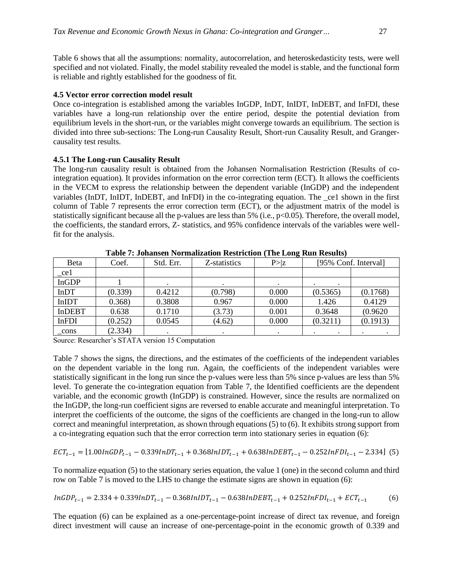Table 6 shows that all the assumptions: normality, autocorrelation, and heteroskedasticity tests, were well specified and not violated. Finally, the model stability revealed the model is stable, and the functional form is reliable and rightly established for the goodness of fit.

#### **4.5 Vector error correction model result**

Once co-integration is established among the variables InGDP, InDT, InIDT, InDEBT, and InFDI, these variables have a long-run relationship over the entire period, despite the potential deviation from equilibrium levels in the short-run, or the variables might converge towards an equilibrium. The section is divided into three sub-sections: The Long-run Causality Result, Short-run Causality Result, and Grangercausality test results.

#### **4.5.1 The Long-run Causality Result**

The long-run causality result is obtained from the Johansen Normalisation Restriction (Results of cointegration equation). It provides information on the error correction term (ECT). It allows the coefficients in the VECM to express the relationship between the dependent variable (InGDP) and the independent variables (InDT, InIDT, InDEBT, and InFDI) in the co-integrating equation. The \_ce1 shown in the first column of Table 7 represents the error correction term (ECT), or the adjustment matrix of the model is statistically significant because all the p-values are less than 5% (i.e.,  $p<0.05$ ). Therefore, the overall model, the coefficients, the standard errors, Z- statistics, and 95% confidence intervals of the variables were wellfit for the analysis.

| Beta          | Coef.   | Std. Err. | Z-statistics | P >  z | [95% Conf. Interval]   |          |
|---------------|---------|-----------|--------------|--------|------------------------|----------|
| _ce1          |         |           |              |        |                        |          |
| <b>InGDP</b>  |         |           |              |        | $\bullet$<br>$\bullet$ |          |
| <b>InDT</b>   | (0.339) | 0.4212    | (0.798)      | 0.000  | (0.5365)               | (0.1768) |
| InIDT         | 0.368   | 0.3808    | 0.967        | 0.000  | 1.426                  | 0.4129   |
| <b>InDEBT</b> | 0.638   | 0.1710    | (3.73)       | 0.001  | 0.3648                 | (0.9620) |
| InFDI         | (0.252) | 0.0545    | (4.62)       | 0.000  | (0.3211)               | (0.1913) |
| cons          | (2.334) |           |              |        | $\bullet$              |          |

**Table 7: Johansen Normalization Restriction (The Long Run Results)**

Source: Researcher's STATA version 15 Computation

Table 7 shows the signs, the directions, and the estimates of the coefficients of the independent variables on the dependent variable in the long run. Again, the coefficients of the independent variables were statistically significant in the long run since the p-values were less than 5% since p-values are less than 5% level. To generate the co-integration equation from Table 7, the Identified coefficients are the dependent variable, and the economic growth (InGDP) is constrained. However, since the results are normalized on the InGDP, the long-run coefficient signs are reversed to enable accurate and meaningful interpretation. To interpret the coefficients of the outcome, the signs of the coefficients are changed in the long-run to allow correct and meaningful interpretation, as shown through equations (5) to (6). It exhibits strong support from a co-integrating equation such that the error correction term into stationary series in equation (6):

$$
ECT_{t-1} = [1.00lnGDP_{t-1} - 0.339lnDT_{t-1} + 0.368lnIDT_{t-1} + 0.638lnDEBT_{t-1} - 0.252lnFDI_{t-1} - 2.334]
$$
 (5)

To normalize equation (5) to the stationary series equation, the value 1 (one) in the second column and third row on Table 7 is moved to the LHS to change the estimate signs are shown in equation (6):

$$
InGDP_{t-1} = 2.334 + 0.339InDT_{t-1} - 0.368InIDT_{t-1} - 0.638InDEBT_{t-1} + 0.252InFDI_{t-1} + ECT_{t-1}
$$
 (6)

The equation (6) can be explained as a one-percentage-point increase of direct tax revenue, and foreign direct investment will cause an increase of one-percentage-point in the economic growth of 0.339 and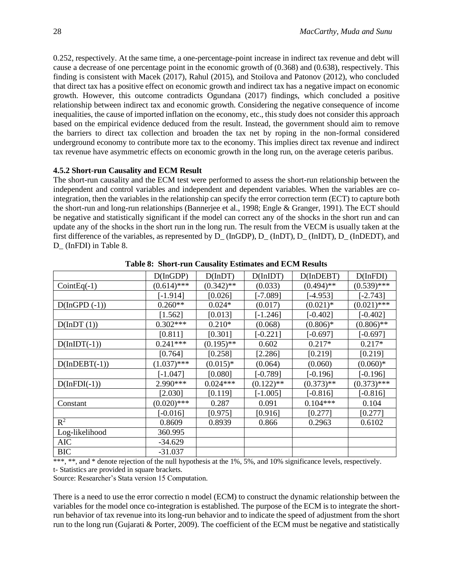0.252, respectively. At the same time, a one-percentage-point increase in indirect tax revenue and debt will cause a decrease of one percentage point in the economic growth of (0.368) and (0.638), respectively. This finding is consistent with Macek (2017), Rahul (2015), and Stoilova and Patonov (2012), who concluded that direct tax has a positive effect on economic growth and indirect tax has a negative impact on economic growth. However, this outcome contradicts Ogundana (2017) findings, which concluded a positive relationship between indirect tax and economic growth. Considering the negative consequence of income inequalities, the cause of imported inflation on the economy, etc., this study does not consider this approach based on the empirical evidence deduced from the result. Instead, the government should aim to remove the barriers to direct tax collection and broaden the tax net by roping in the non-formal considered underground economy to contribute more tax to the economy. This implies direct tax revenue and indirect tax revenue have asymmetric effects on economic growth in the long run, on the average ceteris paribus.

# **4.5.2 Short-run Causality and ECM Result**

The short-run causality and the ECM test were performed to assess the short-run relationship between the independent and control variables and independent and dependent variables. When the variables are cointegration, then the variables in the relationship can specify the error correction term (ECT) to capture both the short-run and long-run relationships (Bannerjee et al., 1998; Engle & Granger, 1991). The ECT should be negative and statistically significant if the model can correct any of the shocks in the short run and can update any of the shocks in the short run in the long run. The result from the VECM is usually taken at the first difference of the variables, as represented by D\_ (InGDP), D\_ (InDT), D\_ (InIDT), D\_ (InDEDT), and D (InFDI) in Table 8.

|                     | $D($ InGDP $)$ | $D($ In $DT)$ | $D($ InIDT $)$ | $D($ In $DEBT)$ | D(InfDI)      |
|---------------------|----------------|---------------|----------------|-----------------|---------------|
| $CointEq(-1)$       | $(0.614)$ ***  | $(0.342)$ **  | (0.033)        | $(0.494)$ **    | $(0.539)$ *** |
|                     | $[-1.914]$     | [0.026]       | $[-7.089]$     | $[-4.953]$      | $[-2.743]$    |
| $D($ InGPD (-1))    | $0.260**$      | $0.024*$      | (0.017)        | $(0.021)$ *     | $(0.021)$ *** |
|                     | [1.562]        | [0.013]       | $[-1.246]$     | $[-0.402]$      | $[-0.402]$    |
| $D($ In $DT(1)$ )   | $0.302***$     | $0.210*$      | (0.068)        | $(0.806)*$      | $(0.806)$ **  |
|                     | [0.811]        | [0.301]       | $[-0.221]$     | $[-0.697]$      | $[-0.697]$    |
| $D( InIDT(-1))$     | $0.241***$     | $(0.195)$ **  | 0.602          | $0.217*$        | $0.217*$      |
|                     | [0.764]        | [0.258]       | [2.286]        | [0.219]         | [0.219]       |
| $D($ In $DEBT(-1))$ | $(1.037)$ ***  | $(0.015)*$    | (0.064)        | (0.060)         | $(0.060)*$    |
|                     | $[-1.047]$     | [0.080]       | $[-0.789]$     | $[-0.196]$      | $[-0.196]$    |
| $D(InfDI(-1))$      | 2.990 ***      | $0.024***$    | $(0.122)$ **   | $(0.373)$ **    | $(0.373)$ *** |
|                     | [2.030]        | [0.119]       | $[-1.005]$     | $[-0.816]$      | $[-0.816]$    |
| Constant            | $(0.020)$ ***  | 0.287         | 0.091          | $0.104***$      | 0.104         |
|                     | $[-0.016]$     | [0.975]       | [0.916]        | [0.277]         | [0.277]       |
| $R^2$               | 0.8609         | 0.8939        | 0.866          | 0.2963          | 0.6102        |
| Log-likelihood      | 360.995        |               |                |                 |               |
| <b>AIC</b>          | $-34.629$      |               |                |                 |               |
| <b>BIC</b>          | $-31.037$      |               |                |                 |               |

**Table 8: Short-run Causality Estimates and ECM Results**

\*\*\*, \*\*, and \* denote rejection of the null hypothesis at the 1%, 5%, and 10% significance levels, respectively. t- Statistics are provided in square brackets.

Source: Researcher's Stata version 15 Computation.

There is a need to use the error correctio n model (ECM) to construct the dynamic relationship between the variables for the model once co-integration is established. The purpose of the ECM is to integrate the shortrun behavior of tax revenue into its long-run behavior and to indicate the speed of adjustment from the short run to the long run (Gujarati & Porter, 2009). The coefficient of the ECM must be negative and statistically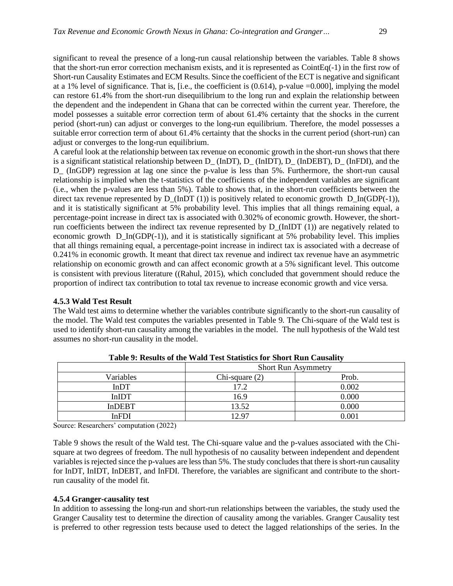significant to reveal the presence of a long-run causal relationship between the variables. Table 8 shows that the short-run error correction mechanism exists, and it is represented as CointEq(-1) in the first row of Short-run Causality Estimates and ECM Results. Since the coefficient of the ECT is negative and significant at a 1% level of significance. That is,  $[i.e., the coefficient is (0.614), p-value =0.000]$ , implying the model can restore 61.4% from the short-run disequilibrium to the long run and explain the relationship between the dependent and the independent in Ghana that can be corrected within the current year. Therefore, the model possesses a suitable error correction term of about 61.4% certainty that the shocks in the current period (short-run) can adjust or converges to the long-run equilibrium. Therefore, the model possesses a suitable error correction term of about 61.4% certainty that the shocks in the current period (short-run) can adjust or converges to the long-run equilibrium.

A careful look at the relationship between tax revenue on economic growth in the short-run shows that there is a significant statistical relationship between D\_ (InDT), D\_ (InIDT), D\_ (InDEBT), D\_ (InFDI), and the D\_ (InGDP) regression at lag one since the p-value is less than 5%. Furthermore, the short-run causal relationship is implied when the t-statistics of the coefficients of the independent variables are significant (i.e., when the p-values are less than 5%). Table to shows that, in the short-run coefficients between the direct tax revenue represented by  $D_{(InDT (1))}$  is positively related to economic growth  $D_{In(GDP(-1))}$ , and it is statistically significant at 5% probability level. This implies that all things remaining equal, a percentage-point increase in direct tax is associated with 0.302% of economic growth. However, the shortrun coefficients between the indirect tax revenue represented by  $D_{\text{I}}(InIDT(1))$  are negatively related to economic growth D\_In(GDP(-1)), and it is statistically significant at 5% probability level. This implies that all things remaining equal, a percentage-point increase in indirect tax is associated with a decrease of 0.241% in economic growth. It meant that direct tax revenue and indirect tax revenue have an asymmetric relationship on economic growth and can affect economic growth at a 5% significant level. This outcome is consistent with previous literature ((Rahul, 2015), which concluded that government should reduce the proportion of indirect tax contribution to total tax revenue to increase economic growth and vice versa.

**4.5.3 Wald Test Result**

The Wald test aims to determine whether the variables contribute significantly to the short-run causality of the model. The Wald test computes the variables presented in Table 9. The Chi-square of the Wald test is used to identify short-run causality among the variables in the model. The null hypothesis of the Wald test assumes no short-run causality in the model.

|               | <b>Short Run Asymmetry</b> |       |  |  |  |  |  |
|---------------|----------------------------|-------|--|--|--|--|--|
| Variables     | Chi-square $(2)$           | Prob. |  |  |  |  |  |
| <b>InDT</b>   | 17.2                       | 0.002 |  |  |  |  |  |
| <b>InIDT</b>  | 16.9                       | 0.000 |  |  |  |  |  |
| <b>InDEBT</b> | 13.52                      | 0.000 |  |  |  |  |  |
| InFDI         | 12 97                      | 0.001 |  |  |  |  |  |

**Table 9: Results of the Wald Test Statistics for Short Run Causality**

Source: Researchers' computation (2022)

Table 9 shows the result of the Wald test. The Chi-square value and the p-values associated with the Chisquare at two degrees of freedom. The null hypothesis of no causality between independent and dependent variables is rejected since the p-values are less than 5%. The study concludes that there is short-run causality for InDT, InIDT, InDEBT, and InFDI. Therefore, the variables are significant and contribute to the shortrun causality of the model fit.

#### **4.5.4 Granger-causality test**

In addition to assessing the long-run and short-run relationships between the variables, the study used the Granger Causality test to determine the direction of causality among the variables. Granger Causality test is preferred to other regression tests because used to detect the lagged relationships of the series. In the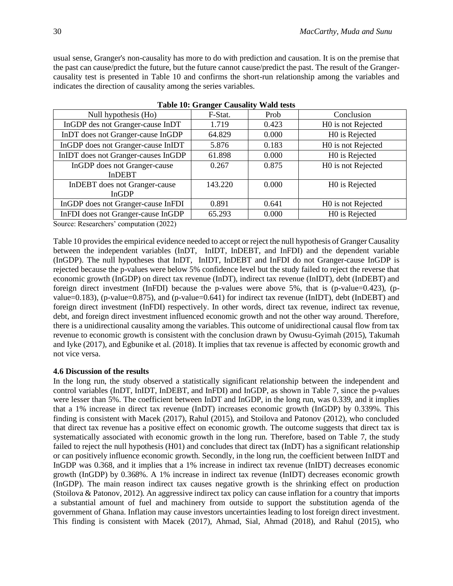usual sense, Granger's non-causality has more to do with prediction and causation. It is on the premise that the past can cause/predict the future, but the future cannot cause/predict the past. The result of the Grangercausality test is presented in Table 10 and confirms the short-run relationship among the variables and indicates the direction of causality among the series variables.

| Null hypothesis (Ho)                | F-Stat. | Prob  | Conclusion         |
|-------------------------------------|---------|-------|--------------------|
| InGDP des not Granger-cause InDT    | 1.719   | 0.423 | H0 is not Rejected |
| InDT does not Granger-cause InGDP   | 64.829  | 0.000 | H0 is Rejected     |
| InGDP does not Granger-cause InIDT  | 5.876   | 0.183 | H0 is not Rejected |
| InIDT does not Granger-causes InGDP | 61.898  | 0.000 | H0 is Rejected     |
| InGDP does not Granger-cause        | 0.267   | 0.875 | H0 is not Rejected |
| <b>InDEBT</b>                       |         |       |                    |
| InDEBT does not Granger-cause       | 143.220 | 0.000 | H0 is Rejected     |
| <b>InGDP</b>                        |         |       |                    |
| InGDP does not Granger-cause InFDI  | 0.891   | 0.641 | H0 is not Rejected |
| InFDI does not Granger-cause InGDP  | 65.293  | 0.000 | H0 is Rejected     |

| <b>Table 10: Granger Causality Wald tests</b> |  |  |  |  |  |
|-----------------------------------------------|--|--|--|--|--|
|-----------------------------------------------|--|--|--|--|--|

Source: Researchers' computation (2022)

Table 10 provides the empirical evidence needed to accept or reject the null hypothesis of Granger Causality between the independent variables (InDT, InIDT, InDEBT, and InFDI) and the dependent variable (InGDP). The null hypotheses that InDT, InIDT, InDEBT and InFDI do not Granger-cause InGDP is rejected because the p-values were below 5% confidence level but the study failed to reject the reverse that economic growth (InGDP) on direct tax revenue (InDT), indirect tax revenue (InIDT), debt (InDEBT) and foreign direct investment (InFDI) because the p-values were above 5%, that is (p-value=0.423), (pvalue=0.183), (p-value=0.875), and (p-value=0.641) for indirect tax revenue (InIDT), debt (InDEBT) and foreign direct investment (InFDI) respectively. In other words, direct tax revenue, indirect tax revenue, debt, and foreign direct investment influenced economic growth and not the other way around. Therefore, there is a unidirectional causality among the variables. This outcome of unidirectional causal flow from tax revenue to economic growth is consistent with the conclusion drawn by Owusu-Gyimah (2015), Takumah and Iyke (2017), and Egbunike et al. (2018). It implies that tax revenue is affected by economic growth and not vice versa.

# **4.6 Discussion of the results**

In the long run, the study observed a statistically significant relationship between the independent and control variables (InDT, InIDT, InDEBT, and InFDI) and InGDP, as shown in Table 7, since the p-values were lesser than 5%. The coefficient between InDT and InGDP, in the long run, was 0.339, and it implies that a 1% increase in direct tax revenue (InDT) increases economic growth (InGDP) by 0.339%. This finding is consistent with Macek (2017), Rahul (2015), and Stoilova and Patonov (2012), who concluded that direct tax revenue has a positive effect on economic growth. The outcome suggests that direct tax is systematically associated with economic growth in the long run. Therefore, based on Table 7, the study failed to reject the null hypothesis (H01) and concludes that direct tax (InDT) has a significant relationship or can positively influence economic growth. Secondly, in the long run, the coefficient between InIDT and InGDP was 0.368, and it implies that a 1% increase in indirect tax revenue (InIDT) decreases economic growth (InGDP) by 0.368%. A 1% increase in indirect tax revenue (InIDT) decreases economic growth (InGDP). The main reason indirect tax causes negative growth is the shrinking effect on production (Stoilova & Patonov, 2012). An aggressive indirect tax policy can cause inflation for a country that imports a substantial amount of fuel and machinery from outside to support the substitution agenda of the government of Ghana. Inflation may cause investors uncertainties leading to lost foreign direct investment. This finding is consistent with Macek (2017), Ahmad, Sial, Ahmad (2018), and Rahul (2015), who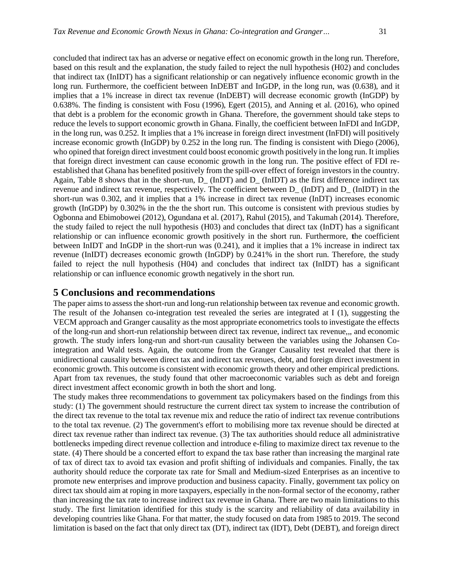concluded that indirect tax has an adverse or negative effect on economic growth in the long run. Therefore, based on this result and the explanation, the study failed to reject the null hypothesis (H02) and concludes that indirect tax (InIDT) has a significant relationship or can negatively influence economic growth in the long run. Furthermore, the coefficient between InDEBT and InGDP, in the long run, was (0.638), and it implies that a 1% increase in direct tax revenue (InDEBT) will decrease economic growth (InGDP) by 0.638%. The finding is consistent with Fosu (1996), Egert (2015), and Anning et al. (2016), who opined that debt is a problem for the economic growth in Ghana. Therefore, the government should take steps to reduce the levels to support economic growth in Ghana. Finally, the coefficient between InFDI and InGDP, in the long run, was 0.252. It implies that a 1% increase in foreign direct investment (InFDI) will positively increase economic growth (InGDP) by 0.252 in the long run. The finding is consistent with Diego (2006), who opined that foreign direct investment could boost economic growth positively in the long run. It implies that foreign direct investment can cause economic growth in the long run. The positive effect of FDI reestablished that Ghana has benefited positively from the spill-over effect of foreign investors in the country. Again, Table 8 shows that in the short-run, D  $(InDT)$  and D  $(InIDT)$  as the first difference indirect tax revenue and indirect tax revenue, respectively. The coefficient between D\_ (InDT) and D\_ (InIDT) in the short-run was 0.302, and it implies that a 1% increase in direct tax revenue (InDT) increases economic growth (InGDP) by 0.302% in the the the short run. This outcome is consistent with previous studies by Ogbonna and Ebimobowei (2012), Ogundana et al. (2017), Rahul (2015), and Takumah (2014). Therefore, the study failed to reject the null hypothesis (H03) and concludes that direct tax (InDT) has a significant relationship or can influence economic growth positively in the short run. Furthermore, **t**he coefficient between InIDT and InGDP in the short-run was (0.241), and it implies that a 1% increase in indirect tax revenue (InIDT) decreases economic growth (InGDP) by 0.241% in the short run. Therefore, the study failed to reject the null hypothesis (H04) and concludes that indirect tax (InIDT) has a significant relationship or can influence economic growth negatively in the short run.

# **5 Conclusions and recommendations**

The paper aims to assess the short-run and long-run relationship between tax revenue and economic growth. The result of the Johansen co-integration test revealed the series are integrated at I (1), suggesting the VECM approach and Granger causality as the most appropriate econometrics tools to investigate the effects of the long-run and short-run relationship between direct tax revenue, indirect tax revenue,,, and economic growth. The study infers long-run and short-run causality between the variables using the Johansen Cointegration and Wald tests. Again, the outcome from the Granger Causality test revealed that there is unidirectional causality between direct tax and indirect tax revenues, debt, and foreign direct investment in economic growth. This outcome is consistent with economic growth theory and other empirical predictions. Apart from tax revenues, the study found that other macroeconomic variables such as debt and foreign direct investment affect economic growth in both the short and long.

The study makes three recommendations to government tax policymakers based on the findings from this study: (1) The government should restructure the current direct tax system to increase the contribution of the direct tax revenue to the total tax revenue mix and reduce the ratio of indirect tax revenue contributions to the total tax revenue. (2) The government's effort to mobilising more tax revenue should be directed at direct tax revenue rather than indirect tax revenue. (3) The tax authorities should reduce all administrative bottlenecks impeding direct revenue collection and introduce e-filing to maximize direct tax revenue to the state. (4) There should be a concerted effort to expand the tax base rather than increasing the marginal rate of tax of direct tax to avoid tax evasion and profit shifting of individuals and companies. Finally, the tax authority should reduce the corporate tax rate for Small and Medium-sized Enterprises as an incentive to promote new enterprises and improve production and business capacity. Finally, government tax policy on direct tax should aim at roping in more taxpayers, especially in the non-formal sector of the economy, rather than increasing the tax rate to increase indirect tax revenue in Ghana. There are two main limitations to this study. The first limitation identified for this study is the scarcity and reliability of data availability in developing countries like Ghana. For that matter, the study focused on data from 1985 to 2019. The second limitation is based on the fact that only direct tax (DT), indirect tax (IDT), Debt (DEBT), and foreign direct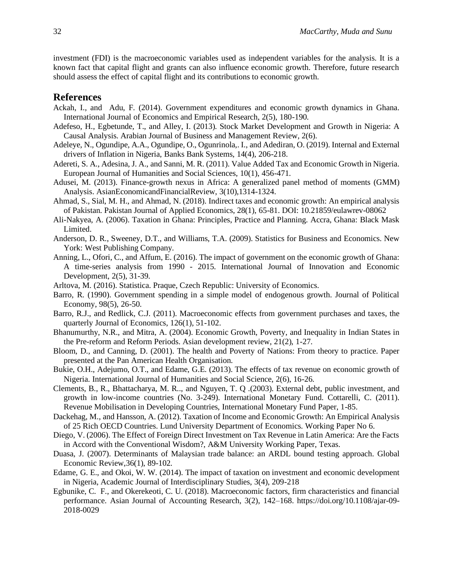investment (FDI) is the macroeconomic variables used as independent variables for the analysis. It is a known fact that capital flight and grants can also influence economic growth. Therefore, future research should assess the effect of capital flight and its contributions to economic growth.

# **References**

- Ackah, I., and Adu, F. (2014). Government expenditures and economic growth dynamics in Ghana. International Journal of Economics and Empirical Research, 2(5), 180-190.
- Adefeso, H., Egbetunde, T., and Alley, I. (2013). Stock Market Development and Growth in Nigeria: A Causal Analysis. Arabian Journal of Business and Management Review, 2(6).
- Adeleye, N., Ogundipe, A.A., Ogundipe, O., Ogunrinola,. I., and Adediran, O. (2019). Internal and External drivers of Inflation in Nigeria, Banks Bank Systems, 14(4), 206-218.
- Adereti, S. A., Adesina, J. A., and Sanni, M. R. (2011). Value Added Tax and Economic Growth in Nigeria. European Journal of Humanities and Social Sciences, 10(1), 456-471.
- Adusei, M. (2013). Finance-growth nexus in Africa: A generalized panel method of moments (GMM) Analysis. AsianEconomicandFinancialReview, 3(10),1314-1324.
- Ahmad, S., Sial, M. H., and Ahmad, N. (2018). Indirect taxes and economic growth: An empirical analysis of Pakistan. Pakistan Journal of Applied Economics, 28(1), 65-81. DOI: 10.21859/eulawrev-08062
- Ali-Nakyea, A. (2006). Taxation in Ghana: Principles, Practice and Planning. Accra, Ghana: Black Mask Limited.
- Anderson, D. R., Sweeney, D.T., and Williams, T.A. (2009). Statistics for Business and Economics. New York: West Publishing Company.
- Anning, L., Ofori, C., and Affum, E. (2016). The impact of government on the economic growth of Ghana: A time-series analysis from 1990 - 2015. International Journal of Innovation and Economic Development, 2(5), 31-39.
- Arltova, M. (2016). Statistica. Praque, Czech Republic: University of Economics.
- Barro, R. (1990). Government spending in a simple model of endogenous growth. Journal of Political Economy, 98(5), 26-50.
- Barro, R.J., and Redlick, C.J. (2011). Macroeconomic effects from government purchases and taxes, the quarterly Journal of Economics, 126(1), 51-102.
- Bhanumurthy, N.R., and Mitra, A. (2004). Economic Growth, Poverty, and Inequality in Indian States in the Pre-reform and Reform Periods. Asian development review, 21(2), 1-27.
- Bloom, D., and Canning, D. (2001). The health and Poverty of Nations: From theory to practice. Paper presented at the Pan American Health Organisation.
- Bukie, O.H., Adejumo, O.T., and Edame, G.E. (2013). The effects of tax revenue on economic growth of Nigeria. International Journal of Humanities and Social Science, 2(6), 16-26.
- Clements, B., R., Bhattacharya, M. R.., and Nguyen, T. Q .(2003). External debt, public investment, and growth in low-income countries (No. 3-249). International Monetary Fund. Cottarelli, C. (2011). Revenue Mobilisation in Developing Countries, International Monetary Fund Paper, 1-85.
- Dackehag, M., and Hansson, A. (2012). Taxation of Income and Economic Growth: An Empirical Analysis of 25 Rich OECD Countries. Lund University Department of Economics. Working Paper No 6.
- Diego, V. (2006). The Effect of Foreign Direct Investment on Tax Revenue in Latin America: Are the Facts in Accord with the Conventional Wisdom?, A&M University Working Paper, Texas.
- Duasa, J. (2007). Determinants of Malaysian trade balance: an ARDL bound testing approach. Global Economic Review,36(1), 89-102.
- Edame, G. E., and Okoi, W. W. (2014). The impact of taxation on investment and economic development in Nigeria, Academic Journal of Interdisciplinary Studies, 3(4), 209-218
- Egbunike, C. F., and Okerekeoti, C. U. (2018). Macroeconomic factors, firm characteristics and financial performance. Asian Journal of Accounting Research, 3(2), 142–168. [https://doi.org/10.1108/ajar-09-](https://doi.org/10.1108/ajar-09-2018-0029) [2018-0029](https://doi.org/10.1108/ajar-09-2018-0029)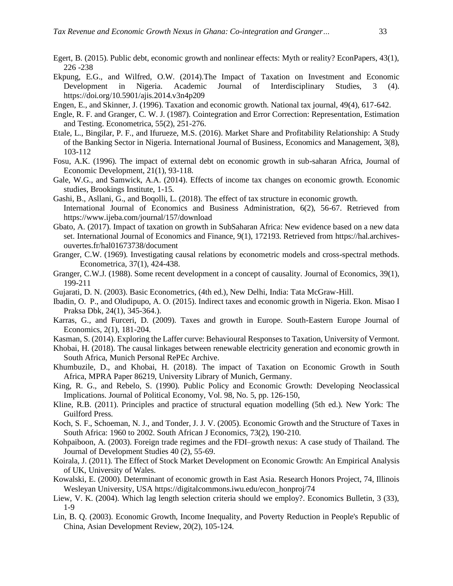- Egert, B. (2015). Public debt, economic growth and nonlinear effects: Myth or reality? EconPapers, 43(1), 226 -238
- Ekpung, E.G., and Wilfred, O.W. (2014).The Impact of Taxation on Investment and Economic Development in Nigeria. Academic Journal of Interdisciplinary Studies, 3 (4). https://doi.org/10.5901/ajis.2014.v3n4p209
- Engen, E., and Skinner, J. (1996). Taxation and economic growth. National tax journal, 49(4), 617-642.
- Engle, R. F. and Granger, C. W. J. (1987). Cointegration and Error Correction: Representation, Estimation and Testing. Econometrica, 55(2), 251-276.
- Etale, L., Bingilar, P. F., and Ifurueze, M.S. (2016). Market Share and Profitability Relationship: A Study of the Banking Sector in Nigeria. International Journal of Business, Economics and Management, 3(8), 103-112
- Fosu, A.K. (1996). The impact of external debt on economic growth in sub-saharan Africa, Journal of Economic Development, 21(1), 93-118.
- Gale, W.G., and Samwick, A.A. (2014). Effects of income tax changes on economic growth. Economic studies, Brookings Institute, 1-15.
- Gashi, B., Asllani, G., and Boqolli, L. (2018). The effect of tax structure in economic growth. International Journal of Economics and Business Administration, 6(2), 56-67. Retrieved from https://www.ijeba.com/journal/157/download
- Gbato, A. (2017). Impact of taxation on growth in SubSaharan Africa: New evidence based on a new data set. International Journal of Economics and Finance, 9(1), 172193. Retrieved from [https://hal.archives](https://hal.archives-/)ouvertes.fr/hal01673738/document
- Granger, C.W. (1969). Investigating causal relations by econometric models and cross-spectral methods. Econometrica, 37(1), 424-438.
- Granger, C.W.J. (1988). Some recent development in a concept of causality. Journal of Economics, 39(1), 199-211
- Gujarati, D. N. (2003). Basic Econometrics, (4th ed.), New Delhi, India: Tata McGraw-Hill.
- Ibadin, O. P., and Oludipupo, A. O. (2015). Indirect taxes and economic growth in Nigeria. Ekon. Misao I Praksa Dbk, 24(1), 345-364.).
- Karras, G., and Furceri, D. (2009). Taxes and growth in Europe. South-Eastern Europe Journal of Economics, 2(1), 181-204.
- Kasman, S. (2014). Exploring the Laffer curve: Behavioural Responses to Taxation, University of Vermont.
- Khobai, H. (2018). The causal linkages between renewable electricity generation and economic growth in South Africa, Munich Personal RePEc Archive.
- Khumbuzile, D., and Khobai, H. (2018). [The impact of Taxation on Economic Growth in South](https://ideas.repec.org/p/pra/mprapa/86219.html)  [Africa,](https://ideas.repec.org/p/pra/mprapa/86219.html) [MPRA Paper](https://ideas.repec.org/s/pra/mprapa.html) 86219, University Library of Munich, Germany.
- King, R. G., and Rebelo, S. (1990). Public Policy and Economic Growth: Developing Neoclassical Implications. [Journal of Political Economy,](https://www.journals.uchicago.edu/journal/jpe) Vol. [98, No. 5, pp. 126-150,](https://www.journals.uchicago.edu/toc/jpe/1990/98/5%2C+Part+2)
- Kline, R.B. (2011). Principles and practice of structural equation modelling (5th ed.). New York: The Guilford Press.
- Koch, S. F., Schoeman, N. J., and Tonder, J. J. V. (2005). Economic Growth and the Structure of Taxes in South Africa: 1960 to 2002. South African J Economics, 73(2), 190-210.
- Kohpaiboon, A. (2003). Foreign trade regimes and the FDI–growth nexus: A case study of Thailand. The Journal of Development Studies 40 (2), 55-69.
- Koirala, J. (2011). The Effect of Stock Market Development on Economic Growth: An Empirical Analysis of UK, University of Wales.
- Kowalski, E. (2000). Determinant of economic growth in East Asia. Research Honors Project, 74, Illinois Wesleyan University, USA [https://digitalcommons.iwu.edu/econ\\_honproj/74](https://digitalcommons.iwu.edu/econ_honproj/74)
- Liew, V. K. (2004). Which lag length selection criteria should we employ?. Economics Bulletin, 3 (33), 1-9
- Lin, B. Q. (2003). Economic Growth, Income Inequality, and Poverty Reduction in People's Republic of China, Asian Development Review, 20(2), 105-124.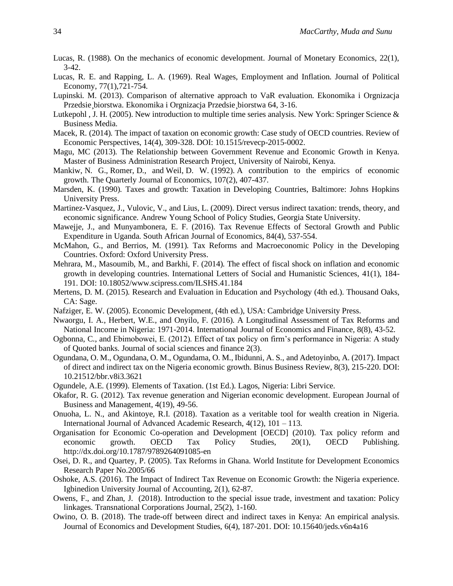- Lucas, R. (1988). On the mechanics of economic development. Journal of Monetary Economics, 22(1), 3-42.
- Lucas, R. E. and Rapping, L. A. (1969). Real Wages, Employment and Inflation. Journal of Political Economy, 77(1),721-754.
- Lupinski. M. (2013). Comparison of alternative approach to VaR evaluation. Ekonomika i Orgnizacja Przedsie¸biorstwa. Ekonomika i Orgnizacja Przedsie¸biorstwa 64, 3-16.
- Lutkepohl , J. H. (2005). New introduction to multiple time series analysis. New York: Springer Science & Business Media.
- Macek, R. (2014). The impact of taxation on economic growth: Case study of OECD countries. Review of Economic Perspectives, 14(4), 309-328. DOI: 10.1515/revecp-2015-0002.
- Magu, MC (2013). The Relationship between Government Revenue and Economic Growth in Kenya. Master of Business Administration Research Project, University of Nairobi, Kenya.
- Mankiw, N. G., Romer, D., and Weil, D. W. (1992). A contribution to the empirics of economic growth. The Quarterly Journal of Economics, 107(2), 407-437.
- Marsden, K. (1990). Taxes and growth: Taxation in Developing Countries, Baltimore: Johns Hopkins University Press.
- Martinez-Vasquez, J., Vulovic, V., and Lius, L. (2009). Direct versus indirect taxation: trends, theory, and economic significance. Andrew Young School of Policy Studies, Georgia State University.
- Mawejje, J., and Munyambonera, E. F. (2016). Tax Revenue Effects of Sectoral Growth and Public Expenditure in Uganda. South African Journal of Economics, 84(4), 537-554.
- McMahon, G., and Berrios, M. (1991). Tax Reforms and Macroeconomic Policy in the Developing Countries. Oxford: Oxford University Press.
- Mehrara, M., Masoumib, M., and Barkhi, F. (2014). The effect of fiscal shock on inflation and economic growth in developing countries. International Letters of Social and Humanistic Sciences, 41(1), 184- 191. DOI: 10.18052/www.scipress.com/ILSHS.41.184
- Mertens, D. M. (2015). Research and Evaluation in Education and Psychology (4th ed.). Thousand Oaks, CA: Sage.
- Nafziger, E. W. (2005). Economic Development, (4th ed.), USA: Cambridge University Press.
- Nwaorgu, I. A., Herbert, W.E., and Onyilo, F. (2016). A Longitudinal Assessment of Tax Reforms and National Income in Nigeria: 1971-2014. International Journal of Economics and Finance, 8(8), 43-52.
- Ogbonna, C., and Ebimobowei, E. (2012). Effect of tax policy on firm's performance in Nigeria: A study of Quoted banks. Journal of social sciences and finance 2(3).
- Ogundana, O. M., Ogundana, O. M., Ogundama, O. M., Ibidunni, A. S., and Adetoyinbo, A. (2017). Impact of direct and indirect tax on the Nigeria economic growth. Binus Business Review, 8(3), 215-220. DOI: 10.21512/bbr.v8i3.3621
- Ogundele, A.E. (1999). Elements of Taxation. (1st Ed.). Lagos, Nigeria: Libri Service.
- Okafor, R. G. (2012). Tax revenue generation and Nigerian economic development. European Journal of Business and Management, 4(19), 49-56.
- Onuoha, L. N., and Akintoye, R.I. (2018). Taxation as a veritable tool for wealth creation in Nigeria. International Journal of Advanced Academic Research, 4(12), 101 – 113.
- Organisation for Economic Co-operation and Development [OECD] (2010). Tax policy reform and economic growth. OECD Tax Policy Studies, 20(1), OECD Publishing. <http://dx.doi.org/10.1787/9789264091085-en>
- Osei, D. R., and Quartey, P. (2005). Tax Reforms in Ghana. World Institute for Development Economics Research Paper No.2005/66
- Oshoke, A.S. (2016). The Impact of Indirect Tax Revenue on Economic Growth: the Nigeria experience. Igbinedion University Journal of Accounting, 2(1), 62-87.
- Owens, F., and Zhan, J. (2018). Introduction to the special issue trade, investment and taxation: Policy linkages. Transnational Corporations Journal, 25(2), 1-160.
- Owino, O. B. (2018). The trade-off between direct and indirect taxes in Kenya: An empirical analysis. Journal of Economics and Development Studies, 6(4), 187-201. DOI: 10.15640/jeds.v6n4a16